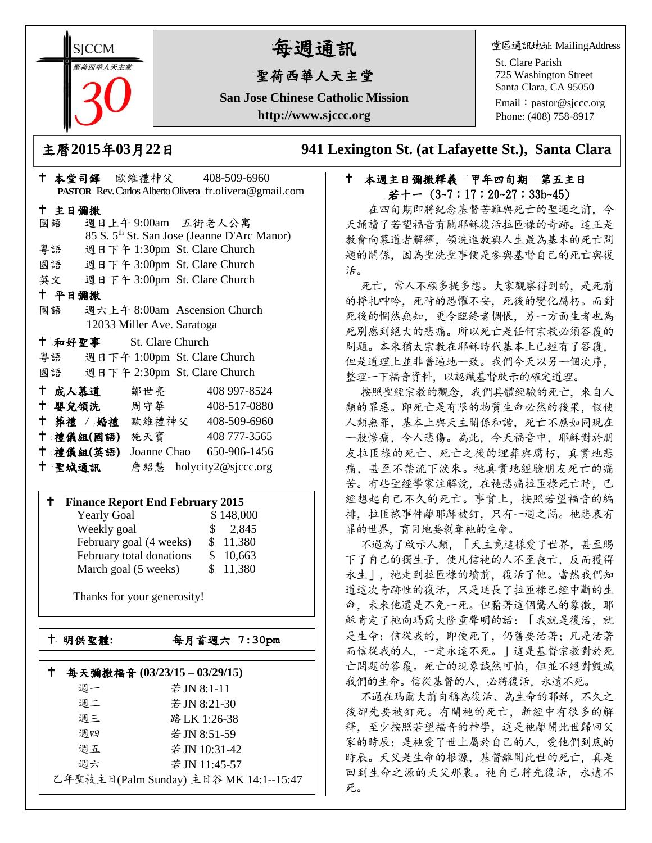**SICCM** 曾荷西華人天主名

# 每週通訊

## 聖荷西華人天主堂

**San Jose Chinese Catholic Mission http://www.sjccc.org**

堂區通訊地址 MailingAddress

St. Clare Parish 725 Washington Street Santa Clara, CA 95050

Email: [pastor@sjccc.org](mailto:pastor@sjccc.org) Phone: (408) 758-8917

主曆**2015**年**03**月**22**日 **941 Lexington St. (at Lafayette St.), Santa Clara** 

#### 十 本週主日彌撒釋義 甲年四旬期 第五主日  $\# + - (3-7;17;20-27;33b-45)$

 在四旬期即將紀念基督苦難與死亡的聖週之前,今 天誦讀了若望福音有關耶穌復活拉匝祿的奇跡。這正是 教會向慕道者解釋,領洗進教與人生最為基本的死亡問 題的關係,因為聖洗聖事便是參與基督自己的死亡與復 活。

死亡,常人不願多提多想。大家觀察得到的,是死前 的掙扎呻吟,死時的恐懼不安,死後的變化腐朽。而對 死後的惘然無知,更令臨終者惆悵,另一方面生者也為 死別感到絕大的悲痛。所以死亡是任何宗教必須答覆的 問題。本來猶太宗教在耶穌時代基本上已經有了答覆, 但是道理上並非普遍地一致。我們今天以另一個次序, 整理一下福音資料,以認識基督啟示的確定道理。

按照聖經宗教的觀念,我們具體經驗的死亡,來自人 類的罪惡。即死亡是有限的物質生命必然的後果,假使 人類無罪,基本上與天主關係和諧,死亡不應如同現在 一般慘痛,令人悲傷。為此,今天福音中,耶穌對於朋 友拉匝祿的死亡、死亡之後的埋葬與腐朽,真實地悲 痛,甚至不禁流下淚來。祂真實地經驗朋友死亡的痛 苦。有些聖經學家注解說,在祂悲痛拉匝祿死亡時,已 經想起自己不久的死亡。事實上,按照若望福音的編 排,拉匝祿事件離耶穌被釘,只有一週之隔。祂悲哀有 罪的世界,盲目地要剝奪祂的生命。

不過為了啟示人類,「天主竟這樣愛了世界,甚至賜 下了自己的獨生子,使凡信祂的人不至喪亡,反而獲得 永生 | , 祂走到拉匝祿的墳前, 復活了他。當然我們知 道這次奇跡性的復活,只是延長了拉匝祿已經中斷的生 命,未來他還是不免一死。但藉著這個驚人的象徵,耶 穌肯定了祂向瑪爾大隆重聲明的話:「我就是復活,就 是生命;信從我的,即使死了,仍舊要活著;凡是活著 而信從我的人,一定永遠不死。」這是基督宗教對於死 亡問題的答覆。死亡的現象誠然可怕,但並不絕對毀滅 我們的生命。信從基督的人,必將復活,永遠不死。

不過在瑪爾大前自稱為復活、為生命的耶穌,不久之 後卻先要被釘死。有關祂的死亡,新經中有很多的解 釋,至少按照若望福音的神學,這是祂離開此世歸回父 家的時辰;是祂愛了世上屬於自己的人,愛他們到底的 時辰。天父是生命的根源,基督離開此世的死亡,真是 回到生命之源的天父那裏。祂自己將先復活,永遠不 死。

|                                               | - エ マ マ コ ー ー ー ー ー ー ー ー ー ー ー ー ー ー ー ー | PASTOR Rev. Carlos Alberto Olivera fr. olivera@gmail.com |  |  |  |
|-----------------------------------------------|-------------------------------------------|----------------------------------------------------------|--|--|--|
| 十 主日彌撒                                        |                                           |                                                          |  |  |  |
| 國語 週日上午9:00am 五街老人公寓                          |                                           |                                                          |  |  |  |
|                                               |                                           | 85 S. 5 <sup>th</sup> St. San Jose (Jeanne D'Arc Manor)  |  |  |  |
| 粤語                                            | 週日下午 1:30pm St. Clare Church              |                                                          |  |  |  |
| 國語 週日下午 3:00pm St. Clare Church               |                                           |                                                          |  |  |  |
| 英文 週日下午 3:00pm St. Clare Church               |                                           |                                                          |  |  |  |
| 十 平日彌撒                                        |                                           |                                                          |  |  |  |
| 國語                                            | 週六上午 8:00am Ascension Church              |                                                          |  |  |  |
|                                               | 12033 Miller Ave. Saratoga                |                                                          |  |  |  |
| + 和好聖事 St. Clare Church                       |                                           |                                                          |  |  |  |
| 粵語 週日下午 1:00pm St. Clare Church               |                                           |                                                          |  |  |  |
| 國語 週日下午 2:30pm St. Clare Church               |                                           |                                                          |  |  |  |
| † 成人慕道   鄒世亮                                  |                                           | 408 997-8524                                             |  |  |  |
| † 嬰兒領洗 周守華 408-517-0880                       |                                           |                                                          |  |  |  |
| † 葬禮 / 婚禮 歐維禮神父 408-509-6960                  |                                           |                                                          |  |  |  |
| † 禮儀組(國語) 施天寶                                 |                                           | 408 777-3565                                             |  |  |  |
| <sup>†</sup> 禮儀組(英語) Joanne Chao 650-906-1456 |                                           |                                                          |  |  |  |
| 十 聖城通訊                                        |                                           | 詹紹慧 holycity2@sjccc.org                                  |  |  |  |

本堂司鐸 歐維禮神父 408-509-6960

#### **Finance Report End February 2015**

| <b>Yearly Goal</b>       | \$148,000              |  |
|--------------------------|------------------------|--|
| Weekly goal              | 2,845<br>$\mathcal{S}$ |  |
| February goal (4 weeks)  | \$11,380               |  |
| February total donations | \$10,663               |  |
| March goal (5 weeks)     | \$11,380               |  |

Thanks for your generosity!

└<br>├

明供聖體**:**每月首週六 **7:30pm**

| 每天彌撒福音 (03/23/15-03/29/15)             |    |               |
|----------------------------------------|----|---------------|
|                                        | 调一 | 若 JN 8:1-11   |
|                                        | 週二 | 若 JN 8:21-30  |
|                                        | 週三 | 路 LK 1:26-38  |
|                                        | 週四 | 若 JN 8:51-59  |
|                                        | 週五 | 若 JN 10:31-42 |
|                                        | 週六 | 若 JN 11:45-57 |
| 乙年聖枝主日(Palm Sunday) 主日谷 MK 14:1--15:47 |    |               |
|                                        |    |               |